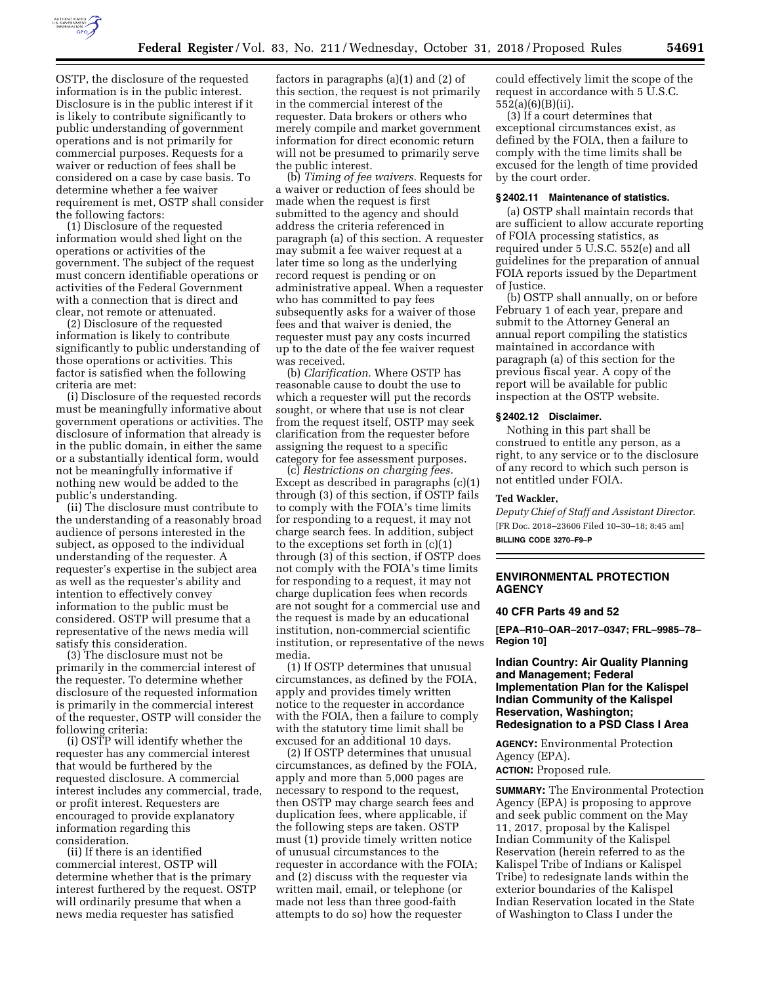

OSTP, the disclosure of the requested information is in the public interest. Disclosure is in the public interest if it is likely to contribute significantly to public understanding of government operations and is not primarily for commercial purposes. Requests for a waiver or reduction of fees shall be considered on a case by case basis. To determine whether a fee waiver requirement is met, OSTP shall consider the following factors:

(1) Disclosure of the requested information would shed light on the operations or activities of the government. The subject of the request must concern identifiable operations or activities of the Federal Government with a connection that is direct and clear, not remote or attenuated.

(2) Disclosure of the requested information is likely to contribute significantly to public understanding of those operations or activities. This factor is satisfied when the following criteria are met:

(i) Disclosure of the requested records must be meaningfully informative about government operations or activities. The disclosure of information that already is in the public domain, in either the same or a substantially identical form, would not be meaningfully informative if nothing new would be added to the public's understanding.

(ii) The disclosure must contribute to the understanding of a reasonably broad audience of persons interested in the subject, as opposed to the individual understanding of the requester. A requester's expertise in the subject area as well as the requester's ability and intention to effectively convey information to the public must be considered. OSTP will presume that a representative of the news media will satisfy this consideration.

(3) The disclosure must not be primarily in the commercial interest of the requester. To determine whether disclosure of the requested information is primarily in the commercial interest of the requester, OSTP will consider the following criteria:

(i) OSTP will identify whether the requester has any commercial interest that would be furthered by the requested disclosure. A commercial interest includes any commercial, trade, or profit interest. Requesters are encouraged to provide explanatory information regarding this consideration.

(ii) If there is an identified commercial interest, OSTP will determine whether that is the primary interest furthered by the request. OSTP will ordinarily presume that when a news media requester has satisfied

factors in paragraphs (a)(1) and (2) of this section, the request is not primarily in the commercial interest of the requester. Data brokers or others who merely compile and market government information for direct economic return will not be presumed to primarily serve the public interest.

(b) *Timing of fee waivers.* Requests for a waiver or reduction of fees should be made when the request is first submitted to the agency and should address the criteria referenced in paragraph (a) of this section. A requester may submit a fee waiver request at a later time so long as the underlying record request is pending or on administrative appeal. When a requester who has committed to pay fees subsequently asks for a waiver of those fees and that waiver is denied, the requester must pay any costs incurred up to the date of the fee waiver request was received.

(b) *Clarification.* Where OSTP has reasonable cause to doubt the use to which a requester will put the records sought, or where that use is not clear from the request itself, OSTP may seek clarification from the requester before assigning the request to a specific category for fee assessment purposes.

(c) *Restrictions on charging fees.*  Except as described in paragraphs (c)(1) through (3) of this section, if OSTP fails to comply with the FOIA's time limits for responding to a request, it may not charge search fees. In addition, subject to the exceptions set forth in (c)(1) through (3) of this section, if OSTP does not comply with the FOIA's time limits for responding to a request, it may not charge duplication fees when records are not sought for a commercial use and the request is made by an educational institution, non-commercial scientific institution, or representative of the news media.

(1) If OSTP determines that unusual circumstances, as defined by the FOIA, apply and provides timely written notice to the requester in accordance with the FOIA, then a failure to comply with the statutory time limit shall be excused for an additional 10 days.

(2) If OSTP determines that unusual circumstances, as defined by the FOIA, apply and more than 5,000 pages are necessary to respond to the request, then OSTP may charge search fees and duplication fees, where applicable, if the following steps are taken. OSTP must (1) provide timely written notice of unusual circumstances to the requester in accordance with the FOIA; and (2) discuss with the requester via written mail, email, or telephone (or made not less than three good-faith attempts to do so) how the requester

could effectively limit the scope of the request in accordance with 5 U.S.C. 552(a)(6)(B)(ii).

(3) If a court determines that exceptional circumstances exist, as defined by the FOIA, then a failure to comply with the time limits shall be excused for the length of time provided by the court order.

#### **§ 2402.11 Maintenance of statistics.**

(a) OSTP shall maintain records that are sufficient to allow accurate reporting of FOIA processing statistics, as required under 5 U.S.C. 552(e) and all guidelines for the preparation of annual FOIA reports issued by the Department of Justice.

(b) OSTP shall annually, on or before February 1 of each year, prepare and submit to the Attorney General an annual report compiling the statistics maintained in accordance with paragraph (a) of this section for the previous fiscal year. A copy of the report will be available for public inspection at the OSTP website.

# **§ 2402.12 Disclaimer.**

Nothing in this part shall be construed to entitle any person, as a right, to any service or to the disclosure of any record to which such person is not entitled under FOIA.

#### **Ted Wackler,**

*Deputy Chief of Staff and Assistant Director.*  [FR Doc. 2018–23606 Filed 10–30–18; 8:45 am] **BILLING CODE 3270–F9–P** 

# **ENVIRONMENTAL PROTECTION AGENCY**

# **40 CFR Parts 49 and 52**

**[EPA–R10–OAR–2017–0347; FRL–9985–78– Region 10]** 

**Indian Country: Air Quality Planning and Management; Federal Implementation Plan for the Kalispel Indian Community of the Kalispel Reservation, Washington; Redesignation to a PSD Class I Area** 

**AGENCY:** Environmental Protection Agency (EPA). **ACTION:** Proposed rule.

**SUMMARY:** The Environmental Protection Agency (EPA) is proposing to approve and seek public comment on the May 11, 2017, proposal by the Kalispel Indian Community of the Kalispel Reservation (herein referred to as the Kalispel Tribe of Indians or Kalispel Tribe) to redesignate lands within the exterior boundaries of the Kalispel Indian Reservation located in the State of Washington to Class I under the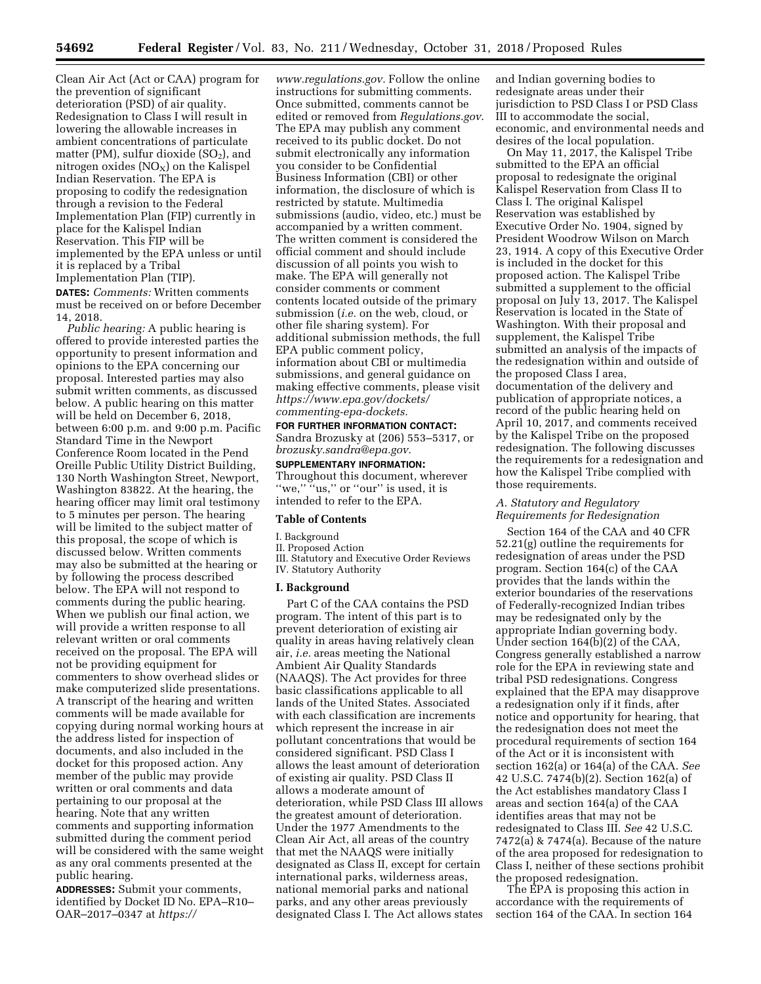Clean Air Act (Act or CAA) program for the prevention of significant deterioration (PSD) of air quality. Redesignation to Class I will result in lowering the allowable increases in ambient concentrations of particulate matter (PM), sulfur dioxide  $(SO<sub>2</sub>)$ , and nitrogen oxides  $(NO<sub>X</sub>)$  on the Kalispel Indian Reservation. The EPA is proposing to codify the redesignation through a revision to the Federal Implementation Plan (FIP) currently in place for the Kalispel Indian Reservation. This FIP will be implemented by the EPA unless or until it is replaced by a Tribal Implementation Plan (TIP). **DATES:** *Comments:* Written comments must be received on or before December 14, 2018.

*Public hearing:* A public hearing is offered to provide interested parties the opportunity to present information and opinions to the EPA concerning our proposal. Interested parties may also submit written comments, as discussed below. A public hearing on this matter will be held on December 6, 2018, between 6:00 p.m. and 9:00 p.m. Pacific Standard Time in the Newport Conference Room located in the Pend Oreille Public Utility District Building, 130 North Washington Street, Newport, Washington 83822. At the hearing, the hearing officer may limit oral testimony to 5 minutes per person. The hearing will be limited to the subject matter of this proposal, the scope of which is discussed below. Written comments may also be submitted at the hearing or by following the process described below. The EPA will not respond to comments during the public hearing. When we publish our final action, we will provide a written response to all relevant written or oral comments received on the proposal. The EPA will not be providing equipment for commenters to show overhead slides or make computerized slide presentations. A transcript of the hearing and written comments will be made available for copying during normal working hours at the address listed for inspection of documents, and also included in the docket for this proposed action. Any member of the public may provide written or oral comments and data pertaining to our proposal at the hearing. Note that any written comments and supporting information submitted during the comment period will be considered with the same weight as any oral comments presented at the public hearing.

**ADDRESSES:** Submit your comments, identified by Docket ID No. EPA–R10– OAR–2017–0347 at *[https://](https://www.regulations.gov)*

*[www.regulations.gov.](https://www.regulations.gov)* Follow the online instructions for submitting comments. Once submitted, comments cannot be edited or removed from *Regulations.gov*. The EPA may publish any comment received to its public docket. Do not submit electronically any information you consider to be Confidential Business Information (CBI) or other information, the disclosure of which is restricted by statute. Multimedia submissions (audio, video, etc.) must be accompanied by a written comment. The written comment is considered the official comment and should include discussion of all points you wish to make. The EPA will generally not consider comments or comment contents located outside of the primary submission (*i.e.* on the web, cloud, or other file sharing system). For additional submission methods, the full EPA public comment policy, information about CBI or multimedia submissions, and general guidance on making effective comments, please visit *[https://www.epa.gov/dockets/](https://www.epa.gov/dockets/commenting-epa-dockets)  [commenting-epa-dockets.](https://www.epa.gov/dockets/commenting-epa-dockets)* 

# **FOR FURTHER INFORMATION CONTACT:**  Sandra Brozusky at (206) 553–5317, or *[brozusky.sandra@epa.gov.](mailto:brozusky.sandra@epa.gov)*

**SUPPLEMENTARY INFORMATION:** 

Throughout this document, wherever "we," "us," or "our" is used, it is intended to refer to the EPA.

# **Table of Contents**

#### I. Background

# II. Proposed Action

III. Statutory and Executive Order Reviews

# IV. Statutory Authority **I. Background**

Part C of the CAA contains the PSD program. The intent of this part is to prevent deterioration of existing air quality in areas having relatively clean air, *i.e.* areas meeting the National Ambient Air Quality Standards (NAAQS). The Act provides for three basic classifications applicable to all lands of the United States. Associated with each classification are increments which represent the increase in air pollutant concentrations that would be considered significant. PSD Class I allows the least amount of deterioration of existing air quality. PSD Class II allows a moderate amount of deterioration, while PSD Class III allows the greatest amount of deterioration. Under the 1977 Amendments to the Clean Air Act, all areas of the country that met the NAAQS were initially designated as Class II, except for certain international parks, wilderness areas, national memorial parks and national parks, and any other areas previously designated Class I. The Act allows states

and Indian governing bodies to redesignate areas under their jurisdiction to PSD Class I or PSD Class III to accommodate the social, economic, and environmental needs and desires of the local population.

On May 11, 2017, the Kalispel Tribe submitted to the EPA an official proposal to redesignate the original Kalispel Reservation from Class II to Class I. The original Kalispel Reservation was established by Executive Order No. 1904, signed by President Woodrow Wilson on March 23, 1914. A copy of this Executive Order is included in the docket for this proposed action. The Kalispel Tribe submitted a supplement to the official proposal on July 13, 2017. The Kalispel Reservation is located in the State of Washington. With their proposal and supplement, the Kalispel Tribe submitted an analysis of the impacts of the redesignation within and outside of the proposed Class I area, documentation of the delivery and publication of appropriate notices, a record of the public hearing held on April 10, 2017, and comments received by the Kalispel Tribe on the proposed redesignation. The following discusses the requirements for a redesignation and how the Kalispel Tribe complied with those requirements.

# *A. Statutory and Regulatory Requirements for Redesignation*

Section 164 of the CAA and 40 CFR 52.21(g) outline the requirements for redesignation of areas under the PSD program. Section 164(c) of the CAA provides that the lands within the exterior boundaries of the reservations of Federally-recognized Indian tribes may be redesignated only by the appropriate Indian governing body. Under section 164(b)(2) of the CAA, Congress generally established a narrow role for the EPA in reviewing state and tribal PSD redesignations. Congress explained that the EPA may disapprove a redesignation only if it finds, after notice and opportunity for hearing, that the redesignation does not meet the procedural requirements of section 164 of the Act or it is inconsistent with section 162(a) or 164(a) of the CAA. *See*  42 U.S.C. 7474(b)(2). Section 162(a) of the Act establishes mandatory Class I areas and section 164(a) of the CAA identifies areas that may not be redesignated to Class III. *See* 42 U.S.C. 7472(a) & 7474(a). Because of the nature of the area proposed for redesignation to Class I, neither of these sections prohibit the proposed redesignation.

The EPA is proposing this action in accordance with the requirements of section 164 of the CAA. In section 164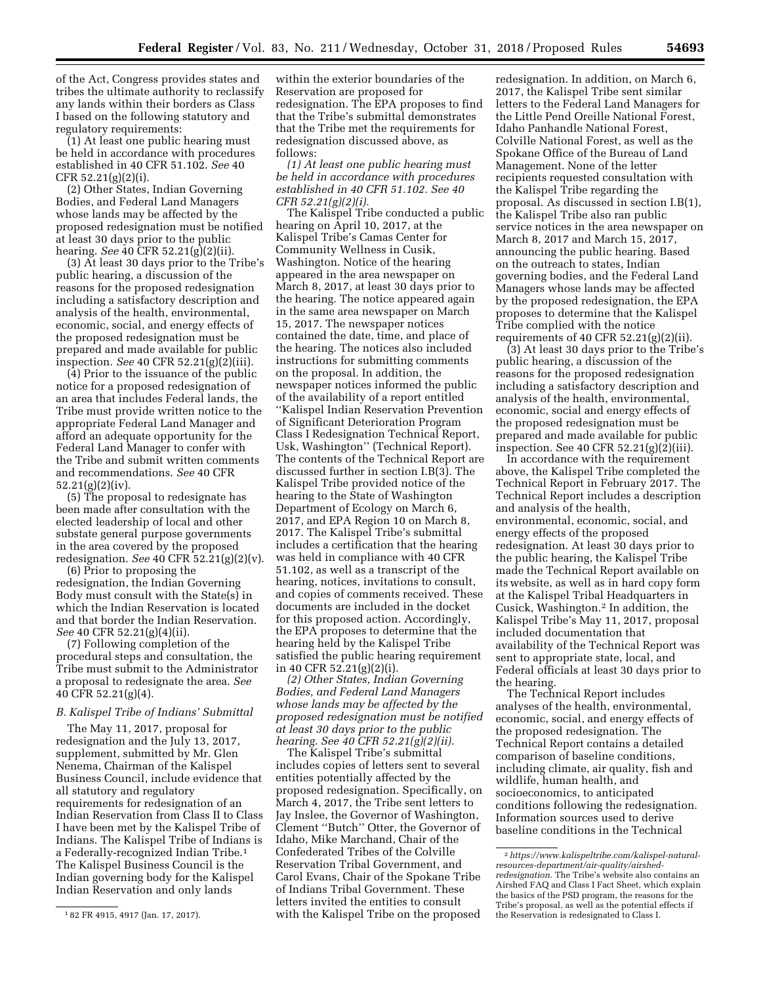of the Act, Congress provides states and tribes the ultimate authority to reclassify any lands within their borders as Class I based on the following statutory and regulatory requirements:

(1) At least one public hearing must be held in accordance with procedures established in 40 CFR 51.102. *See* 40 CFR 52.21(g)(2)(i).

(2) Other States, Indian Governing Bodies, and Federal Land Managers whose lands may be affected by the proposed redesignation must be notified at least 30 days prior to the public hearing. *See* 40 CFR 52.21(g)(2)(ii).

(3) At least 30 days prior to the Tribe's public hearing, a discussion of the reasons for the proposed redesignation including a satisfactory description and analysis of the health, environmental, economic, social, and energy effects of the proposed redesignation must be prepared and made available for public inspection. *See* 40 CFR 52.21(g)(2)(iii).

(4) Prior to the issuance of the public notice for a proposed redesignation of an area that includes Federal lands, the Tribe must provide written notice to the appropriate Federal Land Manager and afford an adequate opportunity for the Federal Land Manager to confer with the Tribe and submit written comments and recommendations. *See* 40 CFR 52.21(g)(2)(iv).

(5) The proposal to redesignate has been made after consultation with the elected leadership of local and other substate general purpose governments in the area covered by the proposed redesignation. *See* 40 CFR 52.21(g)(2)(v).

(6) Prior to proposing the redesignation, the Indian Governing Body must consult with the State(s) in which the Indian Reservation is located and that border the Indian Reservation. *See* 40 CFR 52.21(g)(4)(ii).

(7) Following completion of the procedural steps and consultation, the Tribe must submit to the Administrator a proposal to redesignate the area. *See*  40 CFR 52.21(g)(4).

# *B. Kalispel Tribe of Indians' Submittal*

The May 11, 2017, proposal for redesignation and the July 13, 2017, supplement, submitted by Mr. Glen Nenema, Chairman of the Kalispel Business Council, include evidence that all statutory and regulatory requirements for redesignation of an Indian Reservation from Class II to Class I have been met by the Kalispel Tribe of Indians. The Kalispel Tribe of Indians is a Federally-recognized Indian Tribe.1 The Kalispel Business Council is the Indian governing body for the Kalispel Indian Reservation and only lands

within the exterior boundaries of the Reservation are proposed for redesignation. The EPA proposes to find that the Tribe's submittal demonstrates that the Tribe met the requirements for redesignation discussed above, as follows:

*(1) At least one public hearing must be held in accordance with procedures established in 40 CFR 51.102. See 40 CFR 52.21(g)(2)(i).* 

The Kalispel Tribe conducted a public hearing on April 10, 2017, at the Kalispel Tribe's Camas Center for Community Wellness in Cusik, Washington. Notice of the hearing appeared in the area newspaper on March 8, 2017, at least 30 days prior to the hearing. The notice appeared again in the same area newspaper on March 15, 2017. The newspaper notices contained the date, time, and place of the hearing. The notices also included instructions for submitting comments on the proposal. In addition, the newspaper notices informed the public of the availability of a report entitled ''Kalispel Indian Reservation Prevention of Significant Deterioration Program Class I Redesignation Technical Report, Usk, Washington'' (Technical Report). The contents of the Technical Report are discussed further in section I.B(3). The Kalispel Tribe provided notice of the hearing to the State of Washington Department of Ecology on March 6, 2017, and EPA Region 10 on March 8, 2017. The Kalispel Tribe's submittal includes a certification that the hearing was held in compliance with 40 CFR 51.102, as well as a transcript of the hearing, notices, invitations to consult, and copies of comments received. These documents are included in the docket for this proposed action. Accordingly, the EPA proposes to determine that the hearing held by the Kalispel Tribe satisfied the public hearing requirement in 40 CFR 52.21(g)(2)(i).

*(2) Other States, Indian Governing Bodies, and Federal Land Managers whose lands may be affected by the proposed redesignation must be notified at least 30 days prior to the public hearing. See 40 CFR 52.21(g)(2)(ii).* 

The Kalispel Tribe's submittal includes copies of letters sent to several entities potentially affected by the proposed redesignation. Specifically, on March 4, 2017, the Tribe sent letters to Jay Inslee, the Governor of Washington, Clement ''Butch'' Otter, the Governor of Idaho, Mike Marchand, Chair of the Confederated Tribes of the Colville Reservation Tribal Government, and Carol Evans, Chair of the Spokane Tribe of Indians Tribal Government. These letters invited the entities to consult with the Kalispel Tribe on the proposed

redesignation. In addition, on March 6, 2017, the Kalispel Tribe sent similar letters to the Federal Land Managers for the Little Pend Oreille National Forest, Idaho Panhandle National Forest, Colville National Forest, as well as the Spokane Office of the Bureau of Land Management. None of the letter recipients requested consultation with the Kalispel Tribe regarding the proposal. As discussed in section I.B(1), the Kalispel Tribe also ran public service notices in the area newspaper on March 8, 2017 and March 15, 2017, announcing the public hearing. Based on the outreach to states, Indian governing bodies, and the Federal Land Managers whose lands may be affected by the proposed redesignation, the EPA proposes to determine that the Kalispel Tribe complied with the notice requirements of 40 CFR  $52.21(g)(2)(ii)$ .

(3) At least 30 days prior to the Tribe's public hearing, a discussion of the reasons for the proposed redesignation including a satisfactory description and analysis of the health, environmental, economic, social and energy effects of the proposed redesignation must be prepared and made available for public inspection. See 40 CFR 52.21(g)(2)(iii).

In accordance with the requirement above, the Kalispel Tribe completed the Technical Report in February 2017. The Technical Report includes a description and analysis of the health, environmental, economic, social, and energy effects of the proposed redesignation. At least 30 days prior to the public hearing, the Kalispel Tribe made the Technical Report available on its website, as well as in hard copy form at the Kalispel Tribal Headquarters in Cusick, Washington.2 In addition, the Kalispel Tribe's May 11, 2017, proposal included documentation that availability of the Technical Report was sent to appropriate state, local, and Federal officials at least 30 days prior to the hearing.

The Technical Report includes analyses of the health, environmental, economic, social, and energy effects of the proposed redesignation. The Technical Report contains a detailed comparison of baseline conditions, including climate, air quality, fish and wildlife, human health, and socioeconomics, to anticipated conditions following the redesignation. Information sources used to derive baseline conditions in the Technical

<sup>1</sup> 82 FR 4915, 4917 (Jan. 17, 2017).

<sup>2</sup>*[https://www.kalispeltribe.com/kalispel-natural](https://www.kalispeltribe.com/kalispel-natural-resources-department/air-quality/airshed-redesignation)[resources-department/air-quality/airshed](https://www.kalispeltribe.com/kalispel-natural-resources-department/air-quality/airshed-redesignation)[redesignation.](https://www.kalispeltribe.com/kalispel-natural-resources-department/air-quality/airshed-redesignation)* The Tribe's website also contains an Airshed FAQ and Class I Fact Sheet, which explain the basics of the PSD program, the reasons for the Tribe's proposal, as well as the potential effects if the Reservation is redesignated to Class I.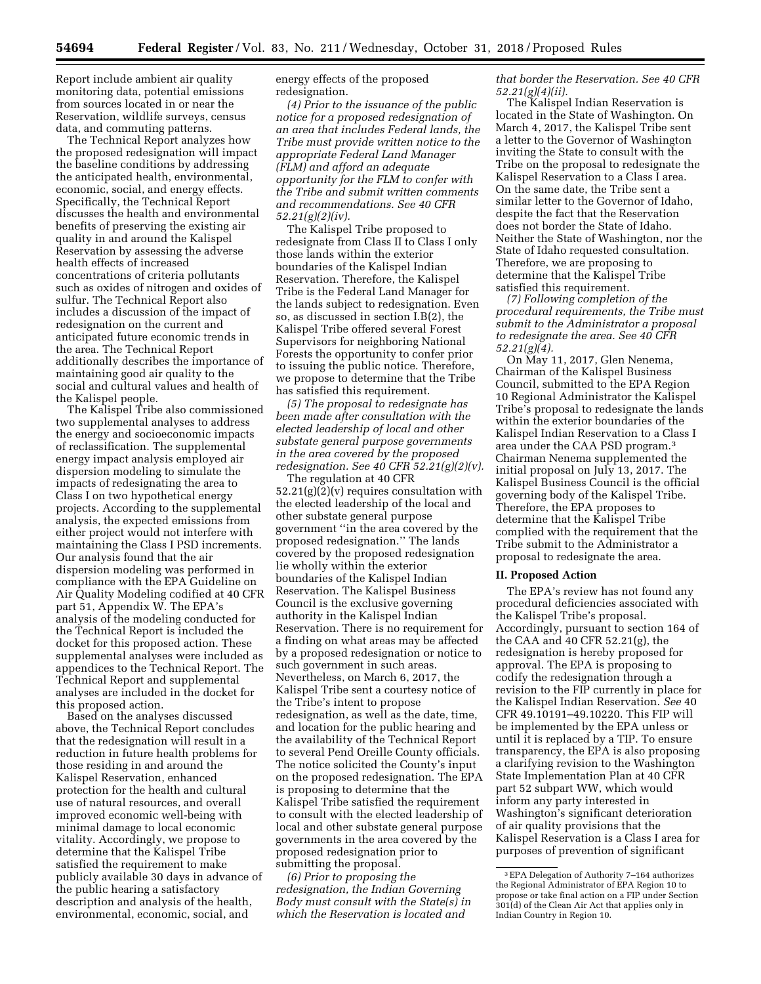Report include ambient air quality monitoring data, potential emissions from sources located in or near the Reservation, wildlife surveys, census data, and commuting patterns.

The Technical Report analyzes how the proposed redesignation will impact the baseline conditions by addressing the anticipated health, environmental, economic, social, and energy effects. Specifically, the Technical Report discusses the health and environmental benefits of preserving the existing air quality in and around the Kalispel Reservation by assessing the adverse health effects of increased concentrations of criteria pollutants such as oxides of nitrogen and oxides of sulfur. The Technical Report also includes a discussion of the impact of redesignation on the current and anticipated future economic trends in the area. The Technical Report additionally describes the importance of maintaining good air quality to the social and cultural values and health of the Kalispel people.

The Kalispel Tribe also commissioned two supplemental analyses to address the energy and socioeconomic impacts of reclassification. The supplemental energy impact analysis employed air dispersion modeling to simulate the impacts of redesignating the area to Class I on two hypothetical energy projects. According to the supplemental analysis, the expected emissions from either project would not interfere with maintaining the Class I PSD increments. Our analysis found that the air dispersion modeling was performed in compliance with the EPA Guideline on Air Quality Modeling codified at 40 CFR part 51, Appendix W. The EPA's analysis of the modeling conducted for the Technical Report is included the docket for this proposed action. These supplemental analyses were included as appendices to the Technical Report. The Technical Report and supplemental analyses are included in the docket for this proposed action.

Based on the analyses discussed above, the Technical Report concludes that the redesignation will result in a reduction in future health problems for those residing in and around the Kalispel Reservation, enhanced protection for the health and cultural use of natural resources, and overall improved economic well-being with minimal damage to local economic vitality. Accordingly, we propose to determine that the Kalispel Tribe satisfied the requirement to make publicly available 30 days in advance of the public hearing a satisfactory description and analysis of the health, environmental, economic, social, and

energy effects of the proposed redesignation.

*(4) Prior to the issuance of the public notice for a proposed redesignation of an area that includes Federal lands, the Tribe must provide written notice to the appropriate Federal Land Manager (FLM) and afford an adequate opportunity for the FLM to confer with the Tribe and submit written comments and recommendations. See 40 CFR 52.21(g)(2)(iv).* 

The Kalispel Tribe proposed to redesignate from Class II to Class I only those lands within the exterior boundaries of the Kalispel Indian Reservation. Therefore, the Kalispel Tribe is the Federal Land Manager for the lands subject to redesignation. Even so, as discussed in section I.B(2), the Kalispel Tribe offered several Forest Supervisors for neighboring National Forests the opportunity to confer prior to issuing the public notice. Therefore, we propose to determine that the Tribe has satisfied this requirement.

*(5) The proposal to redesignate has been made after consultation with the elected leadership of local and other substate general purpose governments in the area covered by the proposed redesignation. See 40 CFR 52.21(g)(2)(v).* 

The regulation at 40 CFR  $52.21(g)(2)(v)$  requires consultation with the elected leadership of the local and other substate general purpose government ''in the area covered by the proposed redesignation.'' The lands covered by the proposed redesignation lie wholly within the exterior boundaries of the Kalispel Indian Reservation. The Kalispel Business Council is the exclusive governing authority in the Kalispel Indian Reservation. There is no requirement for a finding on what areas may be affected by a proposed redesignation or notice to such government in such areas. Nevertheless, on March 6, 2017, the Kalispel Tribe sent a courtesy notice of the Tribe's intent to propose redesignation, as well as the date, time, and location for the public hearing and the availability of the Technical Report to several Pend Oreille County officials. The notice solicited the County's input on the proposed redesignation. The EPA is proposing to determine that the Kalispel Tribe satisfied the requirement to consult with the elected leadership of local and other substate general purpose governments in the area covered by the proposed redesignation prior to submitting the proposal.

*(6) Prior to proposing the redesignation, the Indian Governing Body must consult with the State(s) in which the Reservation is located and* 

*that border the Reservation. See 40 CFR 52.21(g)(4)(ii).* 

The Kalispel Indian Reservation is located in the State of Washington. On March 4, 2017, the Kalispel Tribe sent a letter to the Governor of Washington inviting the State to consult with the Tribe on the proposal to redesignate the Kalispel Reservation to a Class I area. On the same date, the Tribe sent a similar letter to the Governor of Idaho, despite the fact that the Reservation does not border the State of Idaho. Neither the State of Washington, nor the State of Idaho requested consultation. Therefore, we are proposing to determine that the Kalispel Tribe satisfied this requirement.

*(7) Following completion of the procedural requirements, the Tribe must submit to the Administrator a proposal to redesignate the area. See 40 CFR 52.21(g)(4).* 

On May 11, 2017, Glen Nenema, Chairman of the Kalispel Business Council, submitted to the EPA Region 10 Regional Administrator the Kalispel Tribe's proposal to redesignate the lands within the exterior boundaries of the Kalispel Indian Reservation to a Class I area under the CAA PSD program.3 Chairman Nenema supplemented the initial proposal on July 13, 2017. The Kalispel Business Council is the official governing body of the Kalispel Tribe. Therefore, the EPA proposes to determine that the Kalispel Tribe complied with the requirement that the Tribe submit to the Administrator a proposal to redesignate the area.

#### **II. Proposed Action**

The EPA's review has not found any procedural deficiencies associated with the Kalispel Tribe's proposal. Accordingly, pursuant to section 164 of the CAA and 40 CFR 52.21(g), the redesignation is hereby proposed for approval. The EPA is proposing to codify the redesignation through a revision to the FIP currently in place for the Kalispel Indian Reservation. *See* 40 CFR 49.10191–49.10220. This FIP will be implemented by the EPA unless or until it is replaced by a TIP. To ensure transparency, the EPA is also proposing a clarifying revision to the Washington State Implementation Plan at 40 CFR part 52 subpart WW, which would inform any party interested in Washington's significant deterioration of air quality provisions that the Kalispel Reservation is a Class I area for purposes of prevention of significant

<sup>3</sup>EPA Delegation of Authority 7–164 authorizes the Regional Administrator of EPA Region 10 to propose or take final action on a FIP under Section 301(d) of the Clean Air Act that applies only in Indian Country in Region 10.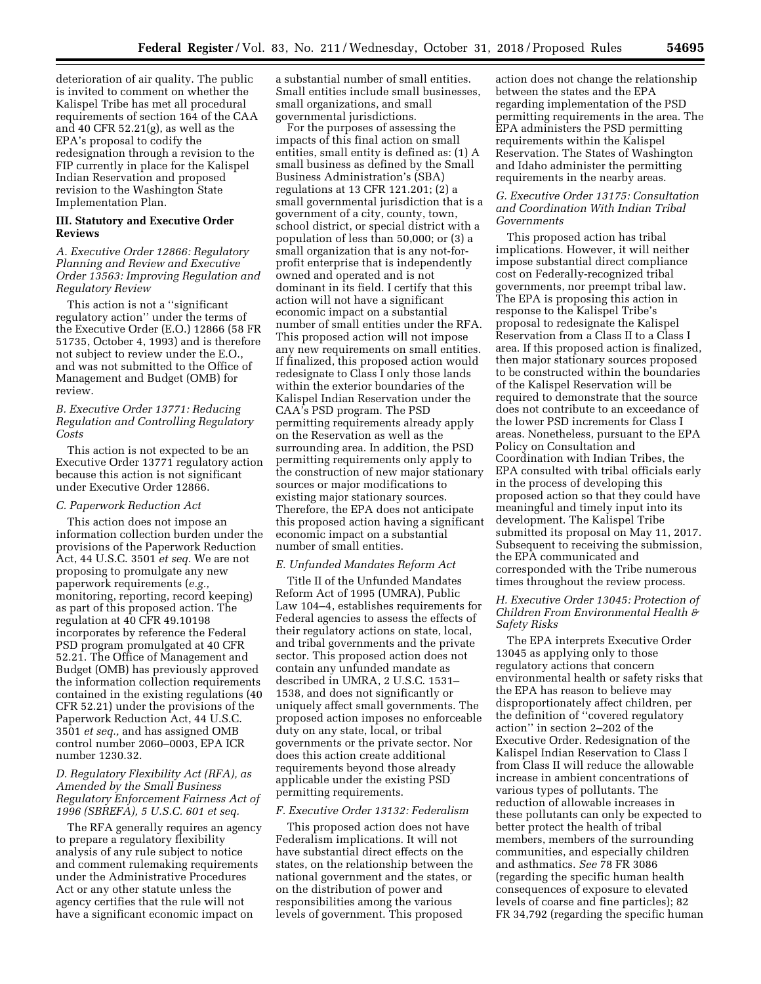deterioration of air quality. The public is invited to comment on whether the Kalispel Tribe has met all procedural requirements of section 164 of the CAA and 40 CFR 52.21(g), as well as the EPA's proposal to codify the redesignation through a revision to the FIP currently in place for the Kalispel Indian Reservation and proposed revision to the Washington State Implementation Plan.

#### **III. Statutory and Executive Order Reviews**

*A. Executive Order 12866: Regulatory Planning and Review and Executive Order 13563: Improving Regulation and Regulatory Review* 

This action is not a ''significant regulatory action'' under the terms of the Executive Order (E.O.) 12866 (58 FR 51735, October 4, 1993) and is therefore not subject to review under the E.O., and was not submitted to the Office of Management and Budget (OMB) for review.

*B. Executive Order 13771: Reducing Regulation and Controlling Regulatory Costs* 

This action is not expected to be an Executive Order 13771 regulatory action because this action is not significant under Executive Order 12866.

#### *C. Paperwork Reduction Act*

This action does not impose an information collection burden under the provisions of the Paperwork Reduction Act, 44 U.S.C. 3501 *et seq.* We are not proposing to promulgate any new paperwork requirements (*e.g.,*  monitoring, reporting, record keeping) as part of this proposed action. The regulation at 40 CFR 49.10198 incorporates by reference the Federal PSD program promulgated at 40 CFR 52.21. The Office of Management and Budget (OMB) has previously approved the information collection requirements contained in the existing regulations (40 CFR 52.21) under the provisions of the Paperwork Reduction Act, 44 U.S.C. 3501 *et seq.,* and has assigned OMB control number 2060–0003, EPA ICR number 1230.32.

# *D. Regulatory Flexibility Act (RFA), as Amended by the Small Business Regulatory Enforcement Fairness Act of 1996 (SBREFA), 5 U.S.C. 601 et seq.*

The RFA generally requires an agency to prepare a regulatory flexibility analysis of any rule subject to notice and comment rulemaking requirements under the Administrative Procedures Act or any other statute unless the agency certifies that the rule will not have a significant economic impact on

a substantial number of small entities. Small entities include small businesses, small organizations, and small governmental jurisdictions.

For the purposes of assessing the impacts of this final action on small entities, small entity is defined as: (1) A small business as defined by the Small Business Administration's (SBA) regulations at 13 CFR 121.201; (2) a small governmental jurisdiction that is a government of a city, county, town, school district, or special district with a population of less than 50,000; or (3) a small organization that is any not-forprofit enterprise that is independently owned and operated and is not dominant in its field. I certify that this action will not have a significant economic impact on a substantial number of small entities under the RFA. This proposed action will not impose any new requirements on small entities. If finalized, this proposed action would redesignate to Class I only those lands within the exterior boundaries of the Kalispel Indian Reservation under the CAA's PSD program. The PSD permitting requirements already apply on the Reservation as well as the surrounding area. In addition, the PSD permitting requirements only apply to the construction of new major stationary sources or major modifications to existing major stationary sources. Therefore, the EPA does not anticipate this proposed action having a significant economic impact on a substantial number of small entities.

#### *E. Unfunded Mandates Reform Act*

Title II of the Unfunded Mandates Reform Act of 1995 (UMRA), Public Law 104–4, establishes requirements for Federal agencies to assess the effects of their regulatory actions on state, local, and tribal governments and the private sector. This proposed action does not contain any unfunded mandate as described in UMRA, 2 U.S.C. 1531– 1538, and does not significantly or uniquely affect small governments. The proposed action imposes no enforceable duty on any state, local, or tribal governments or the private sector. Nor does this action create additional requirements beyond those already applicable under the existing PSD permitting requirements.

#### *F. Executive Order 13132: Federalism*

This proposed action does not have Federalism implications. It will not have substantial direct effects on the states, on the relationship between the national government and the states, or on the distribution of power and responsibilities among the various levels of government. This proposed

action does not change the relationship between the states and the EPA regarding implementation of the PSD permitting requirements in the area. The EPA administers the PSD permitting requirements within the Kalispel Reservation. The States of Washington and Idaho administer the permitting requirements in the nearby areas.

# *G. Executive Order 13175: Consultation and Coordination With Indian Tribal Governments*

This proposed action has tribal implications. However, it will neither impose substantial direct compliance cost on Federally-recognized tribal governments, nor preempt tribal law. The EPA is proposing this action in response to the Kalispel Tribe's proposal to redesignate the Kalispel Reservation from a Class II to a Class I area. If this proposed action is finalized, then major stationary sources proposed to be constructed within the boundaries of the Kalispel Reservation will be required to demonstrate that the source does not contribute to an exceedance of the lower PSD increments for Class I areas. Nonetheless, pursuant to the EPA Policy on Consultation and Coordination with Indian Tribes, the EPA consulted with tribal officials early in the process of developing this proposed action so that they could have meaningful and timely input into its development. The Kalispel Tribe submitted its proposal on May 11, 2017. Subsequent to receiving the submission, the EPA communicated and corresponded with the Tribe numerous times throughout the review process.

# *H. Executive Order 13045: Protection of Children From Environmental Health & Safety Risks*

The EPA interprets Executive Order 13045 as applying only to those regulatory actions that concern environmental health or safety risks that the EPA has reason to believe may disproportionately affect children, per the definition of ''covered regulatory action'' in section 2–202 of the Executive Order. Redesignation of the Kalispel Indian Reservation to Class I from Class II will reduce the allowable increase in ambient concentrations of various types of pollutants. The reduction of allowable increases in these pollutants can only be expected to better protect the health of tribal members, members of the surrounding communities, and especially children and asthmatics. *See* 78 FR 3086 (regarding the specific human health consequences of exposure to elevated levels of coarse and fine particles); 82 FR 34,792 (regarding the specific human